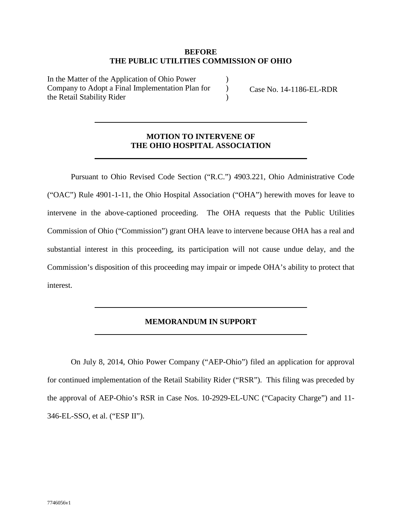## **BEFORE THE PUBLIC UTILITIES COMMISSION OF OHIO**

 $\lambda$ )  $\lambda$ 

In the Matter of the Application of Ohio Power Company to Adopt a Final Implementation Plan for the Retail Stability Rider

Case No. 14-1186-EL-RDR

## **MOTION TO INTERVENE OF THE OHIO HOSPITAL ASSOCIATION**

Pursuant to Ohio Revised Code Section ("R.C.") 4903.221, Ohio Administrative Code ("OAC") Rule 4901-1-11, the Ohio Hospital Association ("OHA") herewith moves for leave to intervene in the above-captioned proceeding. The OHA requests that the Public Utilities Commission of Ohio ("Commission") grant OHA leave to intervene because OHA has a real and substantial interest in this proceeding, its participation will not cause undue delay, and the Commission's disposition of this proceeding may impair or impede OHA's ability to protect that interest.

## **MEMORANDUM IN SUPPORT**

On July 8, 2014, Ohio Power Company ("AEP-Ohio") filed an application for approval for continued implementation of the Retail Stability Rider ("RSR"). This filing was preceded by the approval of AEP-Ohio's RSR in Case Nos. 10-2929-EL-UNC ("Capacity Charge") and 11- 346-EL-SSO, et al. ("ESP II").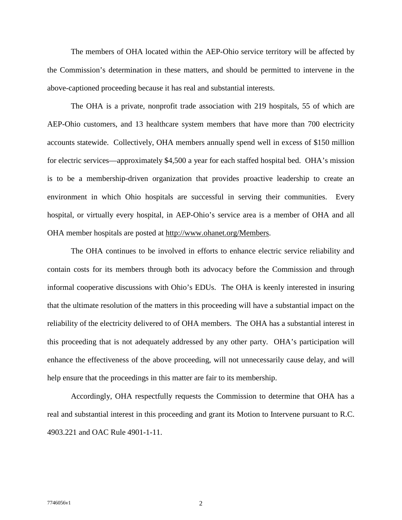The members of OHA located within the AEP-Ohio service territory will be affected by the Commission's determination in these matters, and should be permitted to intervene in the above-captioned proceeding because it has real and substantial interests.

The OHA is a private, nonprofit trade association with 219 hospitals, 55 of which are AEP-Ohio customers, and 13 healthcare system members that have more than 700 electricity accounts statewide. Collectively, OHA members annually spend well in excess of \$150 million for electric services—approximately \$4,500 a year for each staffed hospital bed. OHA's mission is to be a membership-driven organization that provides proactive leadership to create an environment in which Ohio hospitals are successful in serving their communities. Every hospital, or virtually every hospital, in AEP-Ohio's service area is a member of OHA and all OHA member hospitals are posted at http://www.ohanet.org/Members.

The OHA continues to be involved in efforts to enhance electric service reliability and contain costs for its members through both its advocacy before the Commission and through informal cooperative discussions with Ohio's EDUs. The OHA is keenly interested in insuring that the ultimate resolution of the matters in this proceeding will have a substantial impact on the reliability of the electricity delivered to of OHA members. The OHA has a substantial interest in this proceeding that is not adequately addressed by any other party. OHA's participation will enhance the effectiveness of the above proceeding, will not unnecessarily cause delay, and will help ensure that the proceedings in this matter are fair to its membership.

Accordingly, OHA respectfully requests the Commission to determine that OHA has a real and substantial interest in this proceeding and grant its Motion to Intervene pursuant to R.C. 4903.221 and OAC Rule 4901-1-11.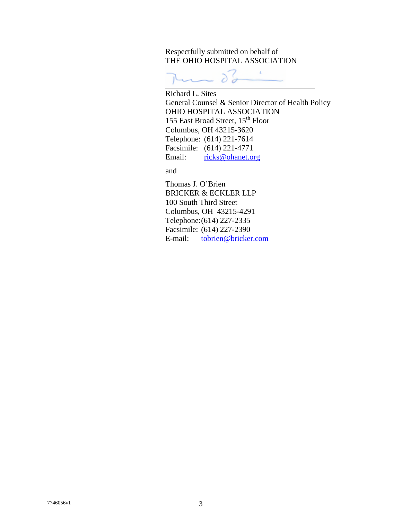Respectfully submitted on behalf of THE OHIO HOSPITAL ASSOCIATION

55

Richard L. Sites General Counsel & Senior Director of Health Policy OHIO HOSPITAL ASSOCIATION 155 East Broad Street, 15<sup>th</sup> Floor Columbus, OH 43215-3620 Telephone: (614) 221-7614 Facsimile: (614) 221-4771 Email: ricks@ohanet.org

and

Thomas J. O'Brien BRICKER & ECKLER LLP 100 South Third Street Columbus, OH 43215-4291 Telephone:(614) 227-2335 Facsimile: (614) 227-2390 E-mail: tobrien@bricker.com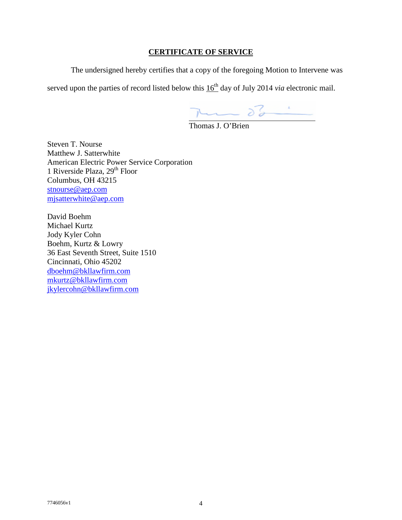## **CERTIFICATE OF SERVICE**

The undersigned hereby certifies that a copy of the foregoing Motion to Intervene was

served upon the parties of record listed below this  $16<sup>th</sup>$  day of July 2014 *via* electronic mail.

 $\overline{y}$   $\overline{\smash{\big)}\ 0}$   $\overline{\smash{\big)}\ 0}$   $\overline{\smash{\big)}\ 0}$   $\overline{\smash{\big)}\ 0}$   $\overline{\smash{\big)}\ 0}$   $\overline{\smash{\big)}\ 0}$   $\overline{\smash{\big)}\ 0}$   $\overline{\smash{\big)}\ 0}$   $\overline{\smash{\big)}\ 0}$   $\overline{\smash{\big)}\ 0}$   $\overline{\smash{\big)}\ 0}$   $\overline{\smash{\big)}\ 0}$   $\overline{\smash{\big)}\ 0}$   $\overline$ 

Steven T. Nourse Matthew J. Satterwhite American Electric Power Service Corporation 1 Riverside Plaza, 29<sup>th</sup> Floor Columbus, OH 43215 stnourse@aep.com mjsatterwhite@aep.com

David Boehm Michael Kurtz Jody Kyler Cohn Boehm, Kurtz & Lowry 36 East Seventh Street, Suite 1510 Cincinnati, Ohio 45202 dboehm@bkllawfirm.com mkurtz@bkllawfirm.com jkylercohn@bkllawfirm.com